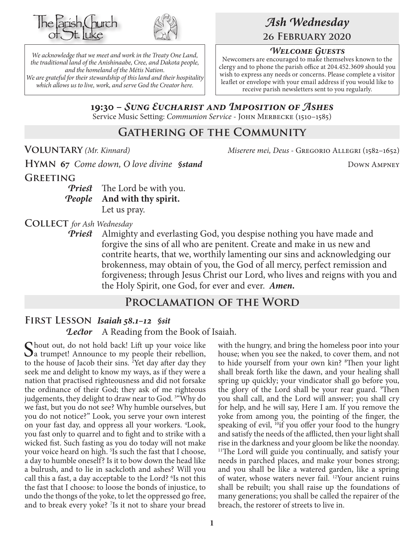



*We acknowledge that we meet and work in the Treaty One Land, the traditional land of the Anishinaabe, Cree, and Dakota people, and the homeland of the Métis Nation. We are grateful for their stewardship of this land and their hospitality which allows us to live, work, and serve God the Creator here.*

# *Ash Wednesday* **26 February 2020**

#### *Welcome Guests*

Newcomers are encouraged to make themselves known to the clergy and to phone the parish office at 204.452.3609 should you wish to express any needs or concerns. Please complete a visitor leaflet or envelope with your email address if you would like to receive parish newsletters sent to you regularly.

**19:30 –** *Sung Eucharist and Imposition of Ashes* Service Music Setting: *Communion Service* - John Merbecke (1510–1585)

## **Gathering of the Community**

**Voluntary** *(Mr. Kinnard) Miserere mei, Deus -* Gregorio Allegri (1582–1652)

**HYMN 67** Come down, O love divine *§stand* DOWN AMPNEY **Greeting**

> *Priest* The Lord be with you. *People* **And with thy spirit.** Let us pray.

**Collect** *for Ash Wednesday*

*Priest* Almighty and everlasting God, you despise nothing you have made and forgive the sins of all who are penitent. Create and make in us new and contrite hearts, that we, worthily lamenting our sins and acknowledging our brokenness, may obtain of you, the God of all mercy, perfect remission and forgiveness; through Jesus Christ our Lord, who lives and reigns with you and the Holy Spirit, one God, for ever and ever. *Amen.*

## **Proclamation of the Word**

## **First Lesson** *Isaiah 58.1–12 §sit*

*Lector* A Reading from the Book of Isaiah.

Chout out, do not hold back! Lift up your voice like a trumpet! Announce to my people their rebellion, to the house of Jacob their sins. <sup>2</sup>Yet day after day they seek me and delight to know my ways, as if they were a nation that practised righteousness and did not forsake the ordinance of their God; they ask of me righteous judgements, they delight to draw near to God. 3 "Why do we fast, but you do not see? Why humble ourselves, but you do not notice?" Look, you serve your own interest on your fast day, and oppress all your workers. 4 Look, you fast only to quarrel and to fight and to strike with a wicked fist. Such fasting as you do today will not make your voice heard on high.<sup>5</sup> Is such the fast that I choose, a day to humble oneself? Is it to bow down the head like a bulrush, and to lie in sackcloth and ashes? Will you call this a fast, a day acceptable to the Lord? <sup>6</sup>Is not this the fast that I choose: to loose the bonds of injustice, to undo the thongs of the yoke, to let the oppressed go free, and to break every yoke? <sup>7</sup>Is it not to share your bread

with the hungry, and bring the homeless poor into your house; when you see the naked, to cover them, and not to hide yourself from your own kin? <sup>8</sup>Then your light shall break forth like the dawn, and your healing shall spring up quickly; your vindicator shall go before you, the glory of the Lord shall be your rear guard. <sup>9</sup>Then you shall call, and the Lord will answer; you shall cry for help, and he will say, Here I am. If you remove the yoke from among you, the pointing of the finger, the speaking of evil, <sup>10</sup>if you offer your food to the hungry and satisfy the needs of the afflicted, then your light shall rise in the darkness and your gloom be like the noonday. <sup>11</sup>The Lord will guide you continually, and satisfy your needs in parched places, and make your bones strong; and you shall be like a watered garden, like a spring of water, whose waters never fail. 12Your ancient ruins shall be rebuilt; you shall raise up the foundations of many generations; you shall be called the repairer of the breach, the restorer of streets to live in.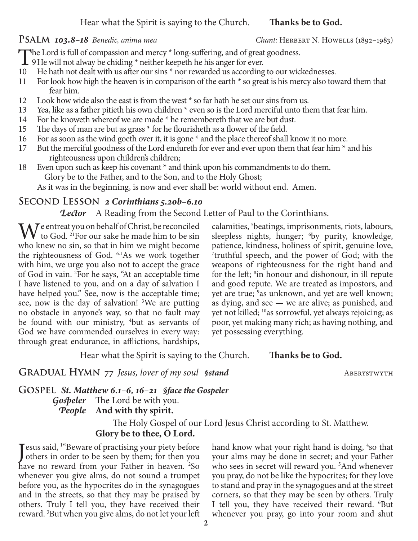#### Hear what the Spirit is saying to the Church. **Thanks be to God.**

#### **PSALM 103.8–18** Benedic, anima mea *Chant*: HERBERT N. HOWELLS (1892–1983)

The Lord is full of compassion and mercy \* long-suffering, and of great goodness.<br>9He will not alway be chiding \* neither keepeth he his anger for ever.

- 
- 10 He hath not dealt with us after our sins  $*$  nor rewarded us according to our wickednesses.
- 11 For look how high the heaven is in comparison of the earth \* so great is his mercy also toward them that fear him.
- 12 Look how wide also the east is from the west \* so far hath he set our sins from us.
- 13 Yea, like as a father pitieth his own children \* even so is the Lord merciful unto them that fear him.
- 14 For he knoweth whereof we are made \* he remembereth that we are but dust.
- 15 The days of man are but as grass \* for he flourisheth as a flower of the field.
- 16 For as soon as the wind goeth over it, it is gone \* and the place thereof shall know it no more.
- 17 But the merciful goodness of the Lord endureth for ever and ever upon them that fear him  $*$  and his righteousness upon children's children;
- 18 Even upon such as keep his covenant \* and think upon his commandments to do them. Glory be to the Father, and to the Son, and to the Holy Ghost;

As it was in the beginning, is now and ever shall be: world without end. Amen.

#### **Second Lesson** *2 Corinthians 5.20b–6.10*

*Lector* A Reading from the Second Letter of Paul to the Corinthians.

M<sup>e entreat you on behalf of Christ, be reconciled</sup> to God. 21For our sake he made him to be sin who knew no sin, so that in him we might become the righteousness of God. 6.1As we work together with him, we urge you also not to accept the grace of God in vain. 2 For he says, "At an acceptable time I have listened to you, and on a day of salvation I have helped you." See, now is the acceptable time; see, now is the day of salvation! <sup>3</sup>We are putting no obstacle in anyone's way, so that no fault may be found with our ministry, <sup>4</sup>but as servants of God we have commended ourselves in every way: through great endurance, in afflictions, hardships,

calamities, 5 beatings, imprisonments, riots, labours, sleepless nights, hunger; <sup>6</sup>by purity, knowledge, patience, kindness, holiness of spirit, genuine love, 7 truthful speech, and the power of God; with the weapons of righteousness for the right hand and for the left; <sup>8</sup>in honour and dishonour, in ill repute and good repute. We are treated as impostors, and yet are true; <sup>9</sup>as unknown, and yet are well known; as dying, and see — we are alive; as punished, and yet not killed; 10as sorrowful, yet always rejoicing; as poor, yet making many rich; as having nothing, and yet possessing everything.

Hear what the Spirit is saying to the Church. **Thanks be to God.**

#### **GRADUAL HYMN** 77 *Jesus, lover of my soul §stand* ABERYSTWYTH

#### **Gospel** *St. Matthew 6.1–6, 16–21 §face the Gospeler Gospeler* The Lord be with you. *People* **And with thy spirit.**

The Holy Gospel of our Lord Jesus Christ according to St. Matthew. **Glory be to thee, O Lord.**

Jesus said, <sup>1</sup> Beware of practising your piety before<br>others in order to be seen by them; for then you others in order to be seen by them; for then you have no reward from your Father in heaven. <sup>2</sup>So whenever you give alms, do not sound a trumpet before you, as the hypocrites do in the synagogues and in the streets, so that they may be praised by others. Truly I tell you, they have received their reward. 3 But when you give alms, do not let your left

hand know what your right hand is doing, <sup>4</sup>so that your alms may be done in secret; and your Father who sees in secret will reward you.<sup>5</sup>And whenever you pray, do not be like the hypocrites; for they love to stand and pray in the synagogues and at the street corners, so that they may be seen by others. Truly I tell you, they have received their reward. <sup>6</sup>But whenever you pray, go into your room and shut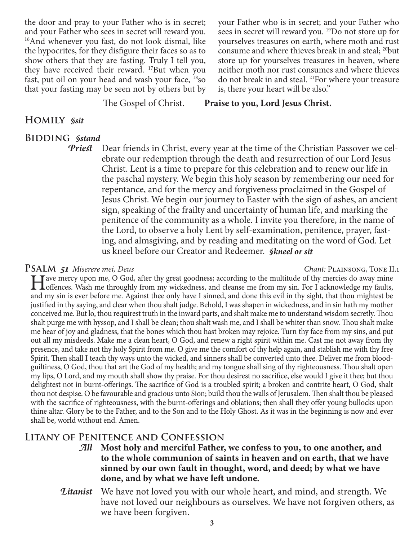the door and pray to your Father who is in secret; and your Father who sees in secret will reward you. <sup>16</sup>And whenever you fast, do not look dismal, like the hypocrites, for they disfigure their faces so as to show others that they are fasting. Truly I tell you, they have received their reward. 17But when you fast, put oil on your head and wash your face, 18so that your fasting may be seen not by others but by

your Father who is in secret; and your Father who sees in secret will reward you. 19Do not store up for yourselves treasures on earth, where moth and rust consume and where thieves break in and steal; 20but store up for yourselves treasures in heaven, where neither moth nor rust consumes and where thieves do not break in and steal. 21For where your treasure is, there your heart will be also."

The Gospel of Christ. **Praise to you, Lord Jesus Christ.**

#### **Homily** *§sit*

#### **Bidding** *§stand*

*Priest* Dear friends in Christ, every year at the time of the Christian Passover we celebrate our redemption through the death and resurrection of our Lord Jesus Christ. Lent is a time to prepare for this celebration and to renew our life in the paschal mystery. We begin this holy season by remembering our need for repentance, and for the mercy and forgiveness proclaimed in the Gospel of Jesus Christ. We begin our journey to Easter with the sign of ashes, an ancient sign, speaking of the frailty and uncertainty of human life, and marking the penitence of the community as a whole. I invite you therefore, in the name of the Lord, to observe a holy Lent by self-examination, penitence, prayer, fasting, and almsgiving, and by reading and meditating on the word of God. Let us kneel before our Creator and Redeemer. *§kneel or sit*

#### **Psalm** *51 Miserere mei, Deus Chant:* Plainsong, Tone II.1

I ave mercy upon me, O God, after thy great goodness; according to the multitude of thy mercies do away mine of offences. Wash me throughly from my wickedness, and cleanse me from my sin. For I acknowledge my faults, and a and my sin is ever before me. Against thee only have I sinned, and done this evil in thy sight, that thou mightest be justified in thy saying, and clear when thou shalt judge. Behold, I was shapen in wickedness, and in sin hath my mother conceived me. But lo, thou requirest truth in the inward parts, and shalt make me to understand wisdom secretly. Thou shalt purge me with hyssop, and I shall be clean; thou shalt wash me, and I shall be whiter than snow. Thou shalt make me hear of joy and gladness, that the bones which thou hast broken may rejoice. Turn thy face from my sins, and put out all my misdeeds. Make me a clean heart, O God, and renew a right spirit within me. Cast me not away from thy presence, and take not thy holy Spirit from me. O give me the comfort of thy help again, and stablish me with thy free Spirit. Then shall I teach thy ways unto the wicked, and sinners shall be converted unto thee. Deliver me from bloodguiltiness, O God, thou that art the God of my health; and my tongue shall sing of thy righteousness. Thou shalt open my lips, O Lord, and my mouth shall show thy praise. For thou desirest no sacrifice, else would I give it thee; but thou delightest not in burnt-offerings. The sacrifice of God is a troubled spirit; a broken and contrite heart, O God, shalt thou not despise. O be favourable and gracious unto Sion; build thou the walls of Jerusalem. Then shalt thou be pleased with the sacrifice of righteousness, with the burnt-offerings and oblations; then shall they offer young bullocks upon thine altar. Glory be to the Father, and to the Son and to the Holy Ghost. As it was in the beginning is now and ever shall be, world without end. Amen.

## **Litany of Penitence and Confession**

*All* **Most holy and merciful Father, we confess to you, to one another, and to the whole communion of saints in heaven and on earth, that we have sinned by our own fault in thought, word, and deed; by what we have done, and by what we have left undone.**

*Litanist* We have not loved you with our whole heart, and mind, and strength. We have not loved our neighbours as ourselves. We have not forgiven others, as we have been forgiven.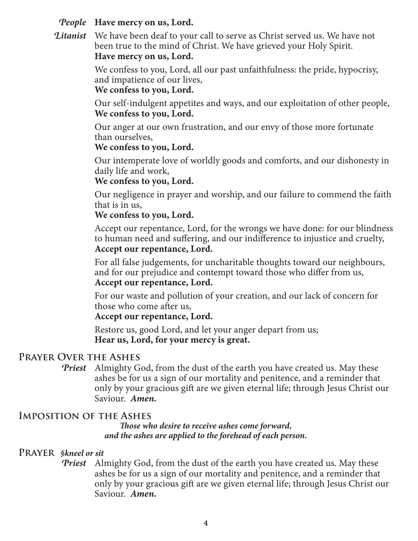### *People* **Have mercy on us, Lord.**

*Litanist* We have been deaf to your call to serve as Christ served us. We have not been true to the mind of Christ. We have grieved your Holy Spirit. **Have mercy on us, Lord.**

> We confess to you, Lord, all our past unfaithfulness: the pride, hypocrisy, and impatience of our lives,

**We confess to you, Lord.**

Our self-indulgent appetites and ways, and our exploitation of other people, **We confess to you, Lord.**

Our anger at our own frustration, and our envy of those more fortunate than ourselves,

#### **We confess to you, Lord.**

Our intemperate love of worldly goods and comforts, and our dishonesty in daily life and work,

#### **We confess to you, Lord.**

Our negligence in prayer and worship, and our failure to commend the faith that is in us,

#### **We confess to you, Lord.**

Accept our repentance, Lord, for the wrongs we have done: for our blindness to human need and suffering, and our indifference to injustice and cruelty, **Accept our repentance, Lord.**

For all false judgements, for uncharitable thoughts toward our neighbours, and for our prejudice and contempt toward those who differ from us, **Accept our repentance, Lord.**

For our waste and pollution of your creation, and our lack of concern for those who come after us,

#### **Accept our repentance, Lord.**

Restore us, good Lord, and let your anger depart from us; **Hear us, Lord, for your mercy is great.**

## **Prayer Over the Ashes**

*Priest* Almighty God, from the dust of the earth you have created us. May these ashes be for us a sign of our mortality and penitence, and a reminder that only by your gracious gift are we given eternal life; through Jesus Christ our Saviour. *Amen.*

## **Imposition of the Ashes**

*Those who desire to receive ashes come forward, and the ashes are applied to the forehead of each person.*

## **Prayer** *§kneel or sit*

*Priest* Almighty God, from the dust of the earth you have created us. May these ashes be for us a sign of our mortality and penitence, and a reminder that only by your gracious gift are we given eternal life; through Jesus Christ our Saviour. *Amen.*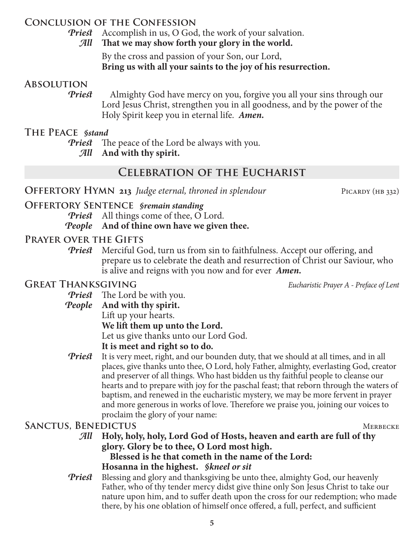## **Conclusion of the Confession**

*Priest* Accomplish in us, O God, the work of your salvation. *All* **That we may show forth your glory in the world.**

> By the cross and passion of your Son, our Lord, **Bring us with all your saints to the joy of his resurrection.**

#### **Absolution**

*Priest* Almighty God have mercy on you, forgive you all your sins through our Lord Jesus Christ, strengthen you in all goodness, and by the power of the Holy Spirit keep you in eternal life. *Amen.*

#### **The Peace** *§stand*

*Priest* The peace of the Lord be always with you.

*All* **And with thy spirit.**

## **Celebration of the Eucharist**

**OFFERTORY HYMN 213** *Judge eternal, throned in splendour* PICARDY (HB 332)

## **Offertory Sentence** *§remain standing*

*Priest* All things come of thee, O Lord.

*People* **And of thine own have we given thee.**

## **Prayer over the Gifts**

*Priest* Merciful God, turn us from sin to faithfulness. Accept our offering, and prepare us to celebrate the death and resurrection of Christ our Saviour, who is alive and reigns with you now and for ever *Amen.*

## **Great Thanksgiving** *Eucharistic Prayer A - Preface of Lent*

*Priest* The Lord be with you.

## *People* **And with thy spirit.**

Lift up your hearts.

**We lift them up unto the Lord.**

Let us give thanks unto our Lord God.

## **It is meet and right so to do.**

**Priest** It is very meet, right, and our bounden duty, that we should at all times, and in all places, give thanks unto thee, O Lord, holy Father, almighty, everlasting God, creator and preserver of all things. Who hast bidden us thy faithful people to cleanse our hearts and to prepare with joy for the paschal feast; that reborn through the waters of baptism, and renewed in the eucharistic mystery, we may be more fervent in prayer and more generous in works of love. Therefore we praise you, joining our voices to proclaim the glory of your name:

## SANCTUS, BENEDICTUS MERBECKE

*All* **Holy, holy, holy, Lord God of Hosts, heaven and earth are full of thy glory. Glory be to thee, O Lord most high.**

 **Blessed is he that cometh in the name of the Lord: Hosanna in the highest.** *§kneel or sit*

*Priest* Blessing and glory and thanksgiving be unto thee, almighty God, our heavenly Father, who of thy tender mercy didst give thine only Son Jesus Christ to take our nature upon him, and to suffer death upon the cross for our redemption; who made there, by his one oblation of himself once offered, a full, perfect, and sufficient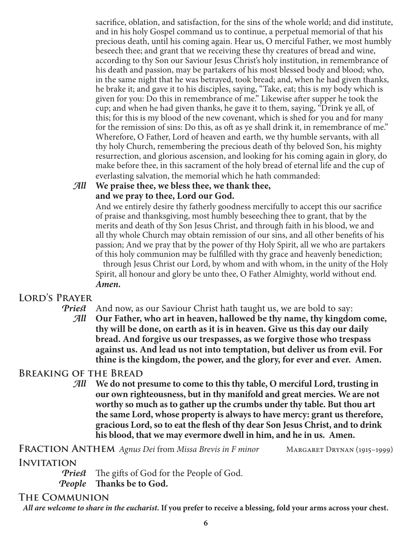sacrifice, oblation, and satisfaction, for the sins of the whole world; and did institute, and in his holy Gospel command us to continue, a perpetual memorial of that his precious death, until his coming again. Hear us, O merciful Father, we most humbly beseech thee; and grant that we receiving these thy creatures of bread and wine, according to thy Son our Saviour Jesus Christ's holy institution, in remembrance of his death and passion, may be partakers of his most blessed body and blood; who, in the same night that he was betrayed, took bread; and, when he had given thanks, he brake it; and gave it to his disciples, saying, "Take, eat; this is my body which is given for you: Do this in remembrance of me." Likewise after supper he took the cup; and when he had given thanks, he gave it to them, saying, "Drink ye all, of this; for this is my blood of the new covenant, which is shed for you and for many for the remission of sins: Do this, as oft as ye shall drink it, in remembrance of me." Wherefore, O Father, Lord of heaven and earth, we thy humble servants, with all thy holy Church, remembering the precious death of thy beloved Son, his mighty resurrection, and glorious ascension, and looking for his coming again in glory, do make before thee, in this sacrament of the holy bread of eternal life and the cup of everlasting salvation, the memorial which he hath commanded:

## *All* **We praise thee, we bless thee, we thank thee, and we pray to thee, Lord our God.**

 And we entirely desire thy fatherly goodness mercifully to accept this our sacrifice of praise and thanksgiving, most humbly beseeching thee to grant, that by the merits and death of thy Son Jesus Christ, and through faith in his blood, we and all thy whole Church may obtain remission of our sins, and all other benefits of his passion; And we pray that by the power of thy Holy Spirit, all we who are partakers of this holy communion may be fulfilled with thy grace and heavenly benediction;

through Jesus Christ our Lord, by whom and with whom, in the unity of the Holy Spirit, all honour and glory be unto thee, O Father Almighty, world without end. *Amen.*

## **Lord's Prayer**

- *Priest* And now, as our Saviour Christ hath taught us, we are bold to say:
	- *All* **Our Father, who art in heaven, hallowed be thy name, thy kingdom come, thy will be done, on earth as it is in heaven. Give us this day our daily bread. And forgive us our trespasses, as we forgive those who trespass against us. And lead us not into temptation, but deliver us from evil. For thine is the kingdom, the power, and the glory, for ever and ever. Amen.**

## **Breaking of the Bread**

*All* **We do not presume to come to this thy table, O merciful Lord, trusting in our own righteousness, but in thy manifold and great mercies. We are not worthy so much as to gather up the crumbs under thy table. But thou art the same Lord, whose property is always to have mercy: grant us therefore, gracious Lord, so to eat the flesh of thy dear Son Jesus Christ, and to drink his blood, that we may evermore dwell in him, and he in us. Amen.**

**Fraction Anthem** *Agnus Dei* from *Missa Brevis in F minor* Margaret Drynan (1915–1999)

## **INVITATION**

*Priest* The gifts of God for the People of God.

## *People* **Thanks be to God.**

## **The Communion**

*All are welcome to share in the eucharist.* **If you prefer to receive a blessing, fold your arms across your chest.**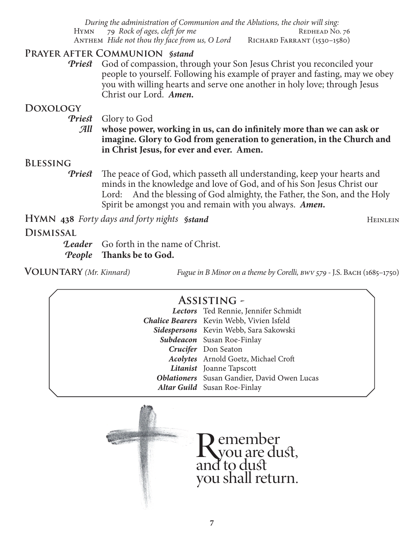*During the administration of Communion and the Ablutions, the choir will sing:* HYMN 79 *Rock of ages, cleft for me* REDHEAD No. 76 ANTHEM *Hide not thou thy face from us, O Lord* RICHARD FARRANT (1530–1580)

## **Prayer after Communion** *§stand*

*Priest* God of compassion, through your Son Jesus Christ you reconciled your people to yourself. Following his example of prayer and fasting, may we obey you with willing hearts and serve one another in holy love; through Jesus Christ our Lord. *Amen.*

## **Doxology**

*Priest* Glory to God

*All* **whose power, working in us, can do infinitely more than we can ask or imagine. Glory to God from generation to generation, in the Church and in Christ Jesus, for ever and ever. Amen.**

## **Blessing**

*Priest* The peace of God, which passeth all understanding, keep your hearts and minds in the knowledge and love of God, and of his Son Jesus Christ our Lord: And the blessing of God almighty, the Father, the Son, and the Holy Spirit be amongst you and remain with you always. *Amen.*

**HYMN** 438 *Forty days and forty nights §stand* Heinlein Heinlein

## **Dismissal**

*Leader* Go forth in the name of Christ. *People* **Thanks be to God.**

**Voluntary** *(Mr. Kinnard) Fugue in B Minor on a theme by Corelli, bwv 579 -* J.S. Bach (1685–1750)

# **Assisting -**

|  | Lectors Ted Rennie, Jennifer Schmidt               |
|--|----------------------------------------------------|
|  | <b>Chalice Bearers</b> Kevin Webb, Vivien Isfeld   |
|  | Sidespersons Kevin Webb, Sara Sakowski             |
|  | Subdeacon Susan Roe-Finlay                         |
|  | Crucifer Don Seaton                                |
|  | Acolytes Arnold Goetz, Michael Croft               |
|  | Litanist Joanne Tapscott                           |
|  | <b>Oblationers</b> Susan Gandier, David Owen Lucas |
|  | <b>Altar Guild</b> Susan Roe-Finlay                |
|  |                                                    |